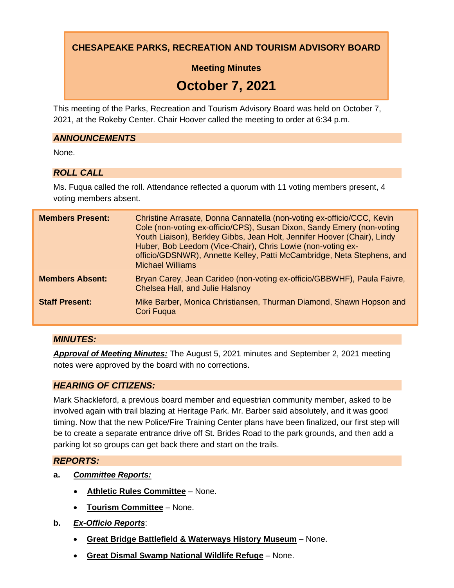**CHESAPEAKE PARKS, RECREATION AND TOURISM ADVISORY BOARD**

**Meeting Minutes**

# **October 7, 2021**

This meeting of the Parks, Recreation and Tourism Advisory Board was held on October 7, 2021, at the Rokeby Center. Chair Hoover called the meeting to order at 6:34 p.m.

#### *ANNOUNCEMENTS*

None.

## *ROLL CALL*

Ms. Fuqua called the roll. Attendance reflected a quorum with 11 voting members present, 4 voting members absent.

| <b>Members Present:</b> | Christine Arrasate, Donna Cannatella (non-voting ex-officio/CCC, Kevin<br>Cole (non-voting ex-officio/CPS), Susan Dixon, Sandy Emery (non-voting<br>Youth Liaison), Berkley Gibbs, Jean Holt, Jennifer Hoover (Chair), Lindy<br>Huber, Bob Leedom (Vice-Chair), Chris Lowie (non-voting ex-<br>officio/GDSNWR), Annette Kelley, Patti McCambridge, Neta Stephens, and<br><b>Michael Williams</b> |
|-------------------------|--------------------------------------------------------------------------------------------------------------------------------------------------------------------------------------------------------------------------------------------------------------------------------------------------------------------------------------------------------------------------------------------------|
| <b>Members Absent:</b>  | Bryan Carey, Jean Carideo (non-voting ex-officio/GBBWHF), Paula Faivre,<br>Chelsea Hall, and Julie Halsnoy                                                                                                                                                                                                                                                                                       |
| <b>Staff Present:</b>   | Mike Barber, Monica Christiansen, Thurman Diamond, Shawn Hopson and<br><b>Cori Fugua</b>                                                                                                                                                                                                                                                                                                         |

## *MINUTES:*

*Approval of Meeting Minutes:* The August 5, 2021 minutes and September 2, 2021 meeting notes were approved by the board with no corrections.

## *HEARING OF CITIZENS:*

Mark Shackleford, a previous board member and equestrian community member, asked to be involved again with trail blazing at Heritage Park. Mr. Barber said absolutely, and it was good timing. Now that the new Police/Fire Training Center plans have been finalized, our first step will be to create a separate entrance drive off St. Brides Road to the park grounds, and then add a parking lot so groups can get back there and start on the trails.

## *REPORTS:*

- **a.** *Committee Reports:*
	- **Athletic Rules Committee** None.
	- **Tourism Committee** None.
- **b.** *Ex-Officio Reports*:
	- **Great Bridge Battlefield & Waterways History Museum** None.
	- **Great Dismal Swamp National Wildlife Refuge** None.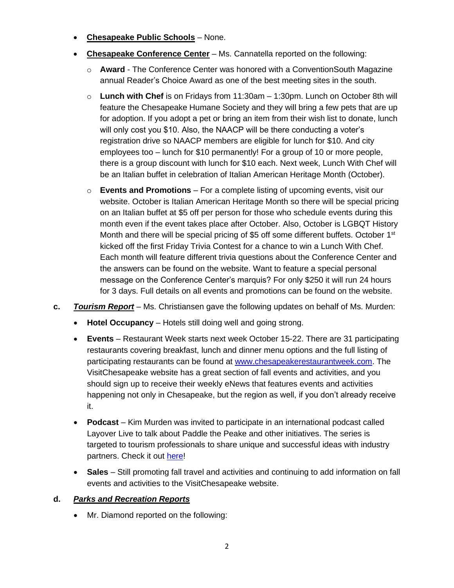- **Chesapeake Public Schools** None.
- **Chesapeake Conference Center** Ms. Cannatella reported on the following:
	- o **Award** The Conference Center was honored with a ConventionSouth Magazine annual Reader's Choice Award as one of the best meeting sites in the south.
	- o **Lunch with Chef** is on Fridays from 11:30am 1:30pm. Lunch on October 8th will feature the Chesapeake Humane Society and they will bring a few pets that are up for adoption. If you adopt a pet or bring an item from their wish list to donate, lunch will only cost you \$10. Also, the NAACP will be there conducting a voter's registration drive so NAACP members are eligible for lunch for \$10. And city employees too – lunch for \$10 permanently! For a group of 10 or more people, there is a group discount with lunch for \$10 each. Next week, Lunch With Chef will be an Italian buffet in celebration of Italian American Heritage Month (October).
	- o **Events and Promotions** For a complete listing of upcoming events, visit our website. October is Italian American Heritage Month so there will be special pricing on an Italian buffet at \$5 off per person for those who schedule events during this month even if the event takes place after October. Also, October is LGBQT History Month and there will be special pricing of \$5 off some different buffets. October 1<sup>st</sup> kicked off the first Friday Trivia Contest for a chance to win a Lunch With Chef. Each month will feature different trivia questions about the Conference Center and the answers can be found on the website. Want to feature a special personal message on the Conference Center's marquis? For only \$250 it will run 24 hours for 3 days. Full details on all events and promotions can be found on the website.
- **c.** *Tourism Report* Ms. Christiansen gave the following updates on behalf of Ms. Murden:
	- **Hotel Occupancy** Hotels still doing well and going strong.
	- **Events**  Restaurant Week starts next week October 15-22. There are 31 participating restaurants covering breakfast, lunch and dinner menu options and the full listing of participating restaurants can be found at [www.chesapeakerestaurantweek.com.](http://www.chesapeakerestaurantweek.com/) The VisitChesapeake website has a great section of fall events and activities, and you should sign up to receive their weekly eNews that features events and activities happening not only in Chesapeake, but the region as well, if you don't already receive it.
	- **Podcast** Kim Murden was invited to participate in an international podcast called Layover Live to talk about Paddle the Peake and other initiatives. The series is targeted to tourism professionals to share unique and successful ideas with industry partners. Check it out [here!](https://youtu.be/gJezXVHKedw)
	- **Sales** Still promoting fall travel and activities and continuing to add information on fall events and activities to the VisitChesapeake website.

#### **d.** *Parks and Recreation Reports*

• Mr. Diamond reported on the following: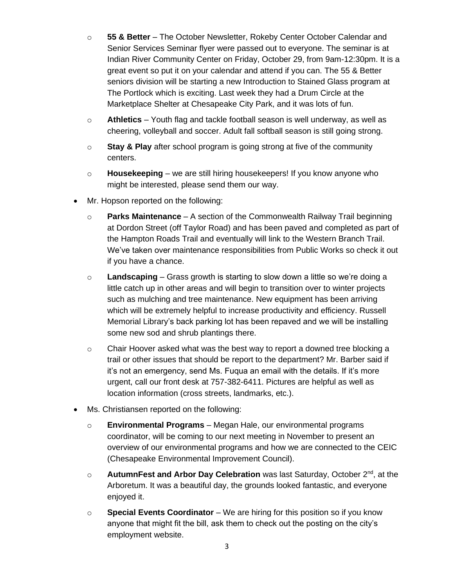- o **55 & Better** The October Newsletter, Rokeby Center October Calendar and Senior Services Seminar flyer were passed out to everyone. The seminar is at Indian River Community Center on Friday, October 29, from 9am-12:30pm. It is a great event so put it on your calendar and attend if you can. The 55 & Better seniors division will be starting a new Introduction to Stained Glass program at The Portlock which is exciting. Last week they had a Drum Circle at the Marketplace Shelter at Chesapeake City Park, and it was lots of fun.
- o **Athletics** Youth flag and tackle football season is well underway, as well as cheering, volleyball and soccer. Adult fall softball season is still going strong.
- o **Stay & Play** after school program is going strong at five of the community centers.
- o **Housekeeping** we are still hiring housekeepers! If you know anyone who might be interested, please send them our way.
- Mr. Hopson reported on the following:
	- o **Parks Maintenance** A section of the Commonwealth Railway Trail beginning at Dordon Street (off Taylor Road) and has been paved and completed as part of the Hampton Roads Trail and eventually will link to the Western Branch Trail. We've taken over maintenance responsibilities from Public Works so check it out if you have a chance.
	- o **Landscaping** Grass growth is starting to slow down a little so we're doing a little catch up in other areas and will begin to transition over to winter projects such as mulching and tree maintenance. New equipment has been arriving which will be extremely helpful to increase productivity and efficiency. Russell Memorial Library's back parking lot has been repaved and we will be installing some new sod and shrub plantings there.
	- $\circ$  Chair Hoover asked what was the best way to report a downed tree blocking a trail or other issues that should be report to the department? Mr. Barber said if it's not an emergency, send Ms. Fuqua an email with the details. If it's more urgent, call our front desk at 757-382-6411. Pictures are helpful as well as location information (cross streets, landmarks, etc.).
- Ms. Christiansen reported on the following:
	- o **Environmental Programs** Megan Hale, our environmental programs coordinator, will be coming to our next meeting in November to present an overview of our environmental programs and how we are connected to the CEIC (Chesapeake Environmental Improvement Council).
	- o **AutumnFest and Arbor Day Celebration** was last Saturday, October 2<sup>nd</sup>, at the Arboretum. It was a beautiful day, the grounds looked fantastic, and everyone enjoyed it.
	- o **Special Events Coordinator** We are hiring for this position so if you know anyone that might fit the bill, ask them to check out the posting on the city's employment website.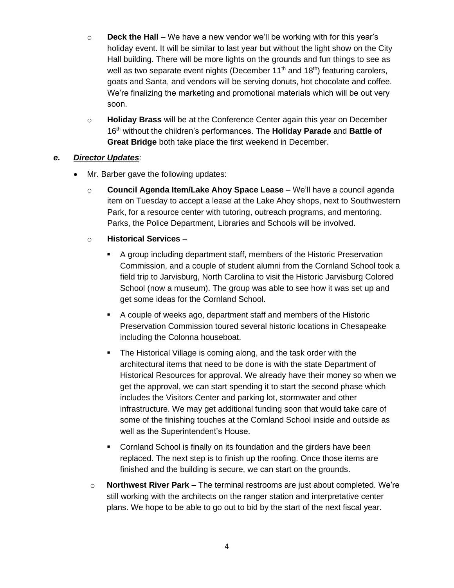- o **Deck the Hall**  We have a new vendor we'll be working with for this year's holiday event. It will be similar to last year but without the light show on the City Hall building. There will be more lights on the grounds and fun things to see as well as two separate event nights (December  $11<sup>th</sup>$  and  $18<sup>th</sup>$ ) featuring carolers, goats and Santa, and vendors will be serving donuts, hot chocolate and coffee. We're finalizing the marketing and promotional materials which will be out very soon.
- o **Holiday Brass** will be at the Conference Center again this year on December 16th without the children's performances. The **Holiday Parade** and **Battle of Great Bridge** both take place the first weekend in December.

#### *e. Director Updates*:

- Mr. Barber gave the following updates:
	- o **Council Agenda Item/Lake Ahoy Space Lease** We'll have a council agenda item on Tuesday to accept a lease at the Lake Ahoy shops, next to Southwestern Park, for a resource center with tutoring, outreach programs, and mentoring. Parks, the Police Department, Libraries and Schools will be involved.
	- o **Historical Services**
		- A group including department staff, members of the Historic Preservation Commission, and a couple of student alumni from the Cornland School took a field trip to Jarvisburg, North Carolina to visit the Historic Jarvisburg Colored School (now a museum). The group was able to see how it was set up and get some ideas for the Cornland School.
		- A couple of weeks ago, department staff and members of the Historic Preservation Commission toured several historic locations in Chesapeake including the Colonna houseboat.
		- The Historical Village is coming along, and the task order with the architectural items that need to be done is with the state Department of Historical Resources for approval. We already have their money so when we get the approval, we can start spending it to start the second phase which includes the Visitors Center and parking lot, stormwater and other infrastructure. We may get additional funding soon that would take care of some of the finishing touches at the Cornland School inside and outside as well as the Superintendent's House.
		- Cornland School is finally on its foundation and the girders have been replaced. The next step is to finish up the roofing. Once those items are finished and the building is secure, we can start on the grounds.
		- o **Northwest River Park** The terminal restrooms are just about completed. We're still working with the architects on the ranger station and interpretative center plans. We hope to be able to go out to bid by the start of the next fiscal year.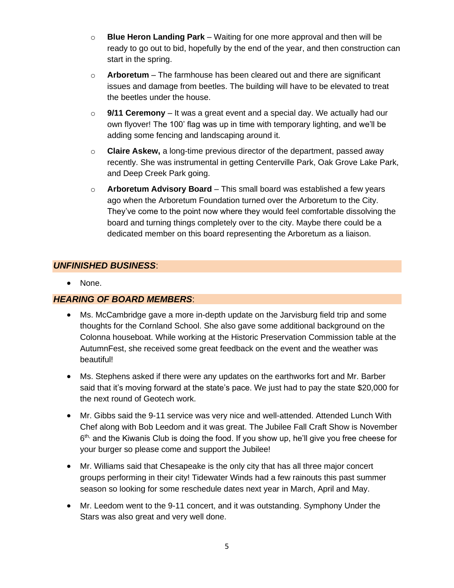- o **Blue Heron Landing Park** Waiting for one more approval and then will be ready to go out to bid, hopefully by the end of the year, and then construction can start in the spring.
- o **Arboretum** The farmhouse has been cleared out and there are significant issues and damage from beetles. The building will have to be elevated to treat the beetles under the house.
- o **9/11 Ceremony** It was a great event and a special day. We actually had our own flyover! The 100' flag was up in time with temporary lighting, and we'll be adding some fencing and landscaping around it.
- o **Claire Askew,** a long-time previous director of the department, passed away recently. She was instrumental in getting Centerville Park, Oak Grove Lake Park, and Deep Creek Park going.
- o **Arboretum Advisory Board** This small board was established a few years ago when the Arboretum Foundation turned over the Arboretum to the City. They've come to the point now where they would feel comfortable dissolving the board and turning things completely over to the city. Maybe there could be a dedicated member on this board representing the Arboretum as a liaison.

### *UNFINISHED BUSINESS*:

• None.

#### *HEARING OF BOARD MEMBERS*:

- Ms. McCambridge gave a more in-depth update on the Jarvisburg field trip and some thoughts for the Cornland School. She also gave some additional background on the Colonna houseboat. While working at the Historic Preservation Commission table at the AutumnFest, she received some great feedback on the event and the weather was beautiful!
- Ms. Stephens asked if there were any updates on the earthworks fort and Mr. Barber said that it's moving forward at the state's pace. We just had to pay the state \$20,000 for the next round of Geotech work.
- Mr. Gibbs said the 9-11 service was very nice and well-attended. Attended Lunch With Chef along with Bob Leedom and it was great. The Jubilee Fall Craft Show is November 6<sup>th,</sup> and the Kiwanis Club is doing the food. If you show up, he'll give you free cheese for your burger so please come and support the Jubilee!
- Mr. Williams said that Chesapeake is the only city that has all three major concert groups performing in their city! Tidewater Winds had a few rainouts this past summer season so looking for some reschedule dates next year in March, April and May.
- Mr. Leedom went to the 9-11 concert, and it was outstanding. Symphony Under the Stars was also great and very well done.